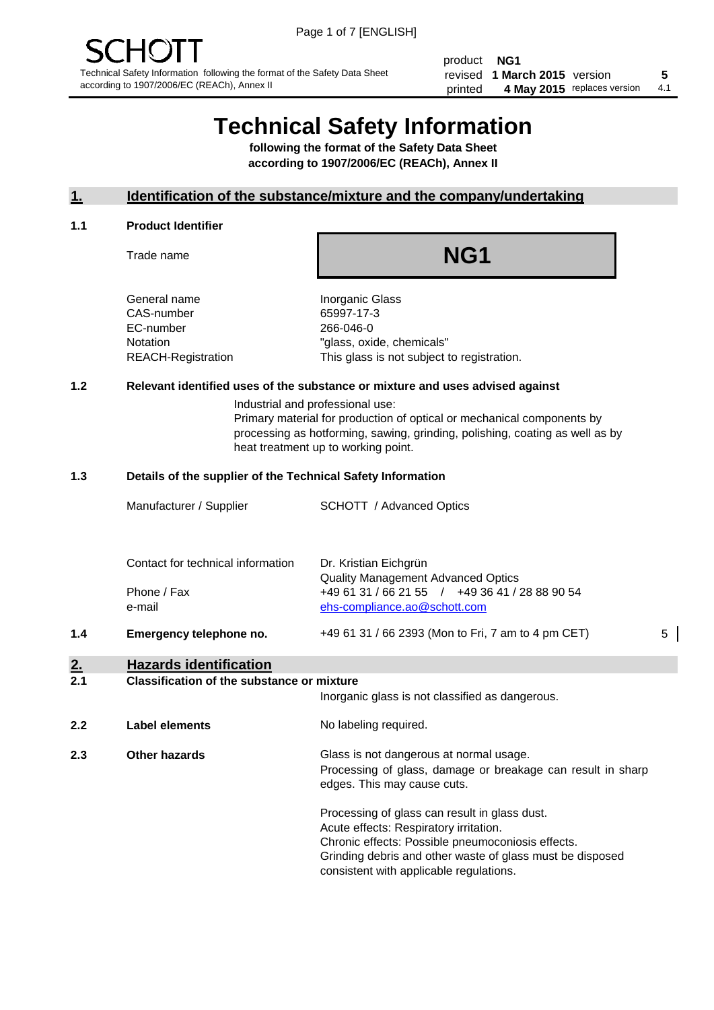product **NG1** revised **5 1 March 2015** version printed 4 May 2015 replaces version 4.1

# **Technical Safety Information**

**following the format of the Safety Data Sheet according to 1907/2006/EC (REACh), Annex II**

#### **1. Identification of the substance/mixture and the company/undertaking**

#### **1.1 Product Identifier**

Trade name

## **NG1**

General name **Inorganic Glass** CAS-number 65997-17-3 EC-number 266-046-0

Notation "glass, oxide, chemicals" REACH-Registration This glass is not subject to registration.

#### **1.2 Relevant identified uses of the substance or mixture and uses advised against**

Industrial and professional use: Primary material for production of optical or mechanical components by processing as hotforming, sawing, grinding, polishing, coating as well as by heat treatment up to working point.

#### **1.3 Details of the supplier of the Technical Safety Information**

| 1.4 | Emergency telephone no.           | +49 61 31 / 66 2393 (Mon to Fri, 7 am to 4 pm CET)                                                                          | 5 |
|-----|-----------------------------------|-----------------------------------------------------------------------------------------------------------------------------|---|
|     | Phone / Fax<br>e-mail             | <b>Quality Management Advanced Optics</b><br>+49 61 31 / 66 21 55 / +49 36 41 / 28 88 90 54<br>ehs-compliance.ao@schott.com |   |
|     | Contact for technical information | Dr. Kristian Eichgrün                                                                                                       |   |
|     | Manufacturer / Supplier           | <b>SCHOTT</b> / Advanced Optics                                                                                             |   |

### **2. Hazards identification**

#### **2.1 Classification of the substance or mixture**

|     |                | Inorganic glass is not classified as dangerous.                                                                                                                                                                                                      |  |  |
|-----|----------------|------------------------------------------------------------------------------------------------------------------------------------------------------------------------------------------------------------------------------------------------------|--|--|
| 2.2 | Label elements | No labeling required.                                                                                                                                                                                                                                |  |  |
| 2.3 | Other hazards  | Glass is not dangerous at normal usage.<br>Processing of glass, damage or breakage can result in sharp<br>edges. This may cause cuts.                                                                                                                |  |  |
|     |                | Processing of glass can result in glass dust.<br>Acute effects: Respiratory irritation.<br>Chronic effects: Possible pneumoconiosis effects.<br>Grinding debris and other waste of glass must be disposed<br>consistent with applicable regulations. |  |  |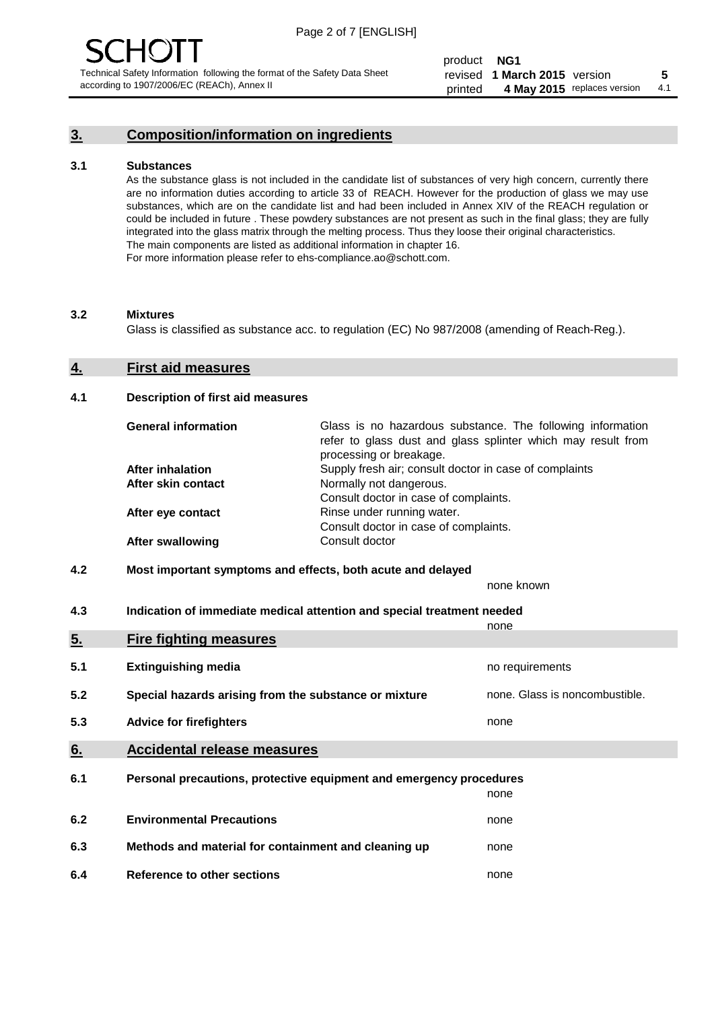#### **3. Composition/information on ingredients**

#### **3.1 Substances**

As the substance glass is not included in the candidate list of substances of very high concern, currently there are no information duties according to article 33 of REACH. However for the production of glass we may use substances, which are on the candidate list and had been included in Annex XIV of the REACH regulation or could be included in future . These powdery substances are not present as such in the final glass; they are fully integrated into the glass matrix through the melting process. Thus they loose their original characteristics. The main components are listed as additional information in chapter 16. For more information please refer to ehs-compliance.ao@schott.com.

#### **3.2 Mixtures**

Glass is classified as substance acc. to regulation (EC) No 987/2008 (amending of Reach-Reg.).

#### **4. First aid measures**

#### **4.1 Description of first aid measures**

| <b>General information</b> | Glass is no hazardous substance. The following information<br>refer to glass dust and glass splinter which may result from<br>processing or breakage. |
|----------------------------|-------------------------------------------------------------------------------------------------------------------------------------------------------|
| After inhalation           | Supply fresh air; consult doctor in case of complaints                                                                                                |
| After skin contact         | Normally not dangerous.                                                                                                                               |
|                            | Consult doctor in case of complaints.                                                                                                                 |
| After eye contact          | Rinse under running water.                                                                                                                            |
|                            | Consult doctor in case of complaints.                                                                                                                 |
| <b>After swallowing</b>    | Consult doctor                                                                                                                                        |

#### **4.2 Most important symptoms and effects, both acute and delayed**

none known

**4.3 Indication of immediate medical attention and special treatment needed** 

|     |                                                                     | none                           |
|-----|---------------------------------------------------------------------|--------------------------------|
| 5.  | <b>Fire fighting measures</b>                                       |                                |
| 5.1 | <b>Extinguishing media</b>                                          | no requirements                |
| 5.2 | Special hazards arising from the substance or mixture               | none. Glass is noncombustible. |
| 5.3 | <b>Advice for firefighters</b>                                      | none                           |
| 6.  | <b>Accidental release measures</b>                                  |                                |
| 6.1 | Personal precautions, protective equipment and emergency procedures |                                |
|     |                                                                     | none                           |
| 6.2 | <b>Environmental Precautions</b>                                    | none                           |
| 6.3 | Methods and material for containment and cleaning up                | none                           |
| 6.4 | Reference to other sections                                         | none                           |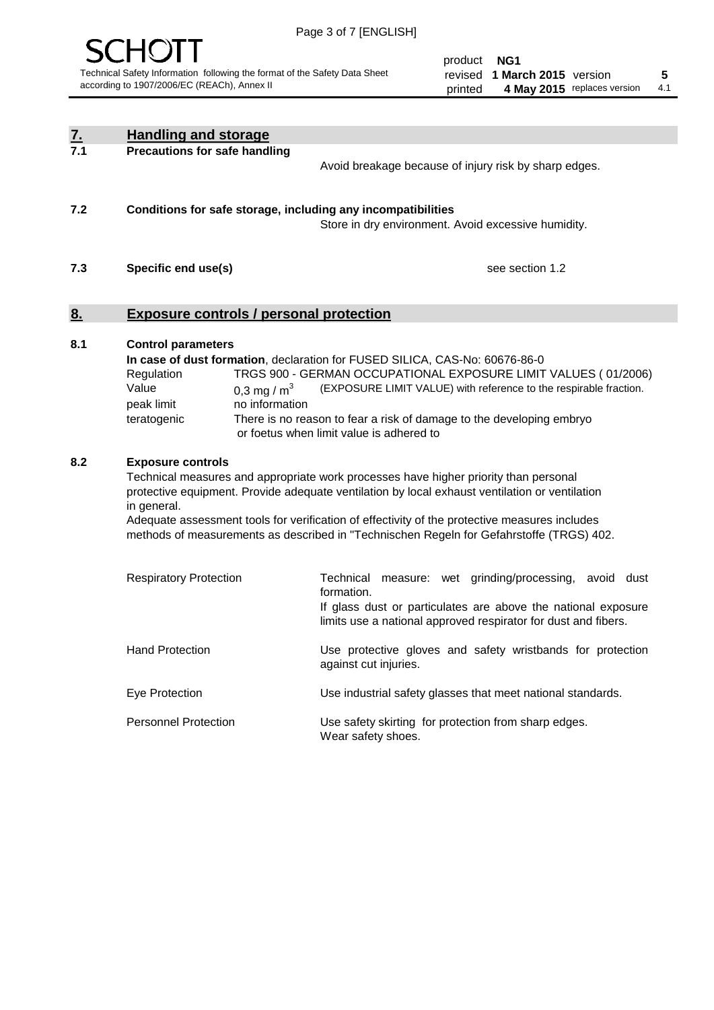

product **NG1** revised **5 1 March 2015** version printed 4 May 2015 replaces version 4.1

| <u>7.</u> | <b>Handling and storage</b>                                                                                      |                                                                                                                                                                                                                                                                                                                                                                                                                                                             |
|-----------|------------------------------------------------------------------------------------------------------------------|-------------------------------------------------------------------------------------------------------------------------------------------------------------------------------------------------------------------------------------------------------------------------------------------------------------------------------------------------------------------------------------------------------------------------------------------------------------|
| 7.1       | <b>Precautions for safe handling</b>                                                                             | Avoid breakage because of injury risk by sharp edges.                                                                                                                                                                                                                                                                                                                                                                                                       |
| 7.2       | Conditions for safe storage, including any incompatibilities                                                     | Store in dry environment. Avoid excessive humidity.                                                                                                                                                                                                                                                                                                                                                                                                         |
| 7.3       | Specific end use(s)                                                                                              | see section 1.2                                                                                                                                                                                                                                                                                                                                                                                                                                             |
| 8.        | <b>Exposure controls / personal protection</b>                                                                   |                                                                                                                                                                                                                                                                                                                                                                                                                                                             |
| 8.1       | <b>Control parameters</b><br>Regulation<br>Value<br>0,3 mg / $m3$<br>no information<br>peak limit<br>teratogenic | In case of dust formation, declaration for FUSED SILICA, CAS-No: 60676-86-0<br>TRGS 900 - GERMAN OCCUPATIONAL EXPOSURE LIMIT VALUES (01/2006)<br>(EXPOSURE LIMIT VALUE) with reference to the respirable fraction.<br>There is no reason to fear a risk of damage to the developing embryo<br>or foetus when limit value is adhered to                                                                                                                      |
| 8.2       | <b>Exposure controls</b><br>in general.<br><b>Respiratory Protection</b>                                         | Technical measures and appropriate work processes have higher priority than personal<br>protective equipment. Provide adequate ventilation by local exhaust ventilation or ventilation<br>Adequate assessment tools for verification of effectivity of the protective measures includes<br>methods of measurements as described in "Technischen Regeln for Gefahrstoffe (TRGS) 402.<br>Technical measure: wet grinding/processing, avoid dust<br>formation. |
|           |                                                                                                                  | If glass dust or particulates are above the national exposure<br>limits use a national approved respirator for dust and fibers.                                                                                                                                                                                                                                                                                                                             |
|           | <b>Hand Protection</b>                                                                                           | Use protective gloves and safety wristbands for protection<br>against cut injuries.                                                                                                                                                                                                                                                                                                                                                                         |
|           | Eye Protection                                                                                                   | Use industrial safety glasses that meet national standards.                                                                                                                                                                                                                                                                                                                                                                                                 |
|           | <b>Personnel Protection</b>                                                                                      | Use safety skirting for protection from sharp edges.<br>Wear safety shoes.                                                                                                                                                                                                                                                                                                                                                                                  |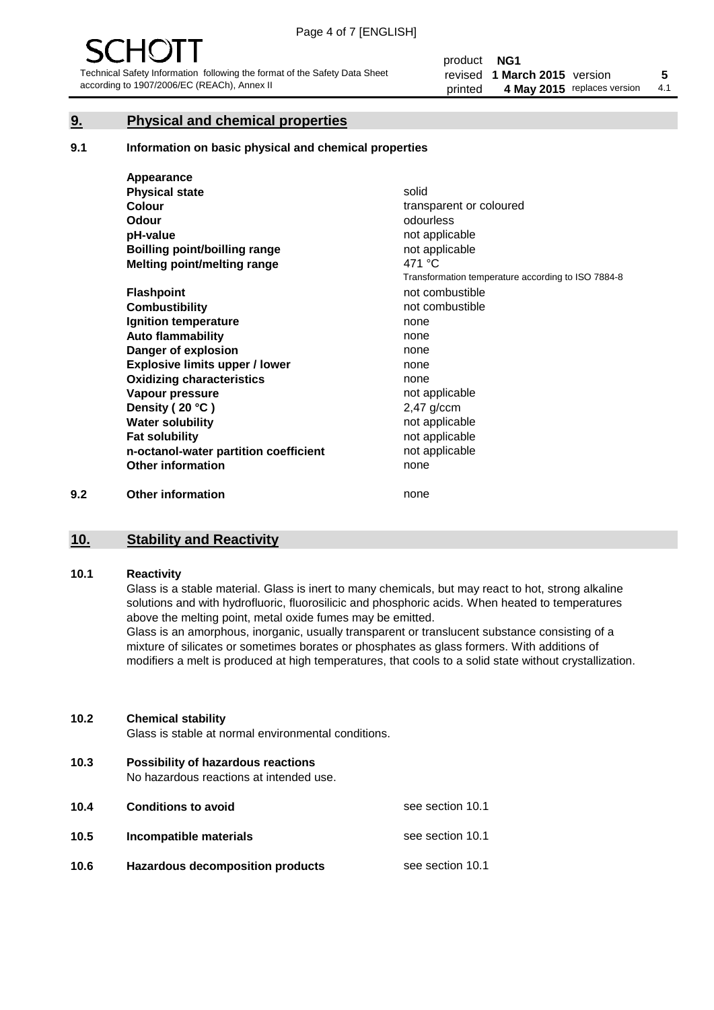#### **9. Physical and chemical properties**

#### **9.1 Information on basic physical and chemical properties**

|     | Appearance                            |                                                    |
|-----|---------------------------------------|----------------------------------------------------|
|     | <b>Physical state</b>                 | solid                                              |
|     | <b>Colour</b>                         | transparent or coloured                            |
|     | <b>Odour</b>                          | odourless                                          |
|     | pH-value                              | not applicable                                     |
|     | <b>Boilling point/boilling range</b>  | not applicable                                     |
|     | Melting point/melting range           | 471 °C                                             |
|     |                                       | Transformation temperature according to ISO 7884-8 |
|     | <b>Flashpoint</b>                     | not combustible                                    |
|     | <b>Combustibility</b>                 | not combustible                                    |
|     | Ignition temperature                  | none                                               |
|     | <b>Auto flammability</b>              | none                                               |
|     | Danger of explosion                   | none                                               |
|     | <b>Explosive limits upper / lower</b> | none                                               |
|     | <b>Oxidizing characteristics</b>      | none                                               |
|     | Vapour pressure                       | not applicable                                     |
|     | Density (20 °C)                       | $2,47$ g/ccm                                       |
|     | <b>Water solubility</b>               | not applicable                                     |
|     | <b>Fat solubility</b>                 | not applicable                                     |
|     | n-octanol-water partition coefficient | not applicable                                     |
|     | <b>Other information</b>              | none                                               |
| 9.2 | <b>Other information</b>              | none                                               |

#### **10. Stability and Reactivity**

#### **10.1 Reactivity**

Glass is a stable material. Glass is inert to many chemicals, but may react to hot, strong alkaline solutions and with hydrofluoric, fluorosilicic and phosphoric acids. When heated to temperatures above the melting point, metal oxide fumes may be emitted.

Glass is an amorphous, inorganic, usually transparent or translucent substance consisting of a mixture of silicates or sometimes borates or phosphates as glass formers. With additions of modifiers a melt is produced at high temperatures, that cools to a solid state without crystallization.

#### **10.2 Chemical stability**

Glass is stable at normal environmental conditions.

**10.3 Possibility of hazardous reactions** 

No hazardous reactions at intended use.

| 10.4 | <b>Conditions to avoid</b>       | see section 10.1 |
|------|----------------------------------|------------------|
| 10.5 | Incompatible materials           | see section 10.1 |
| 10.6 | Hazardous decomposition products | see section 10.1 |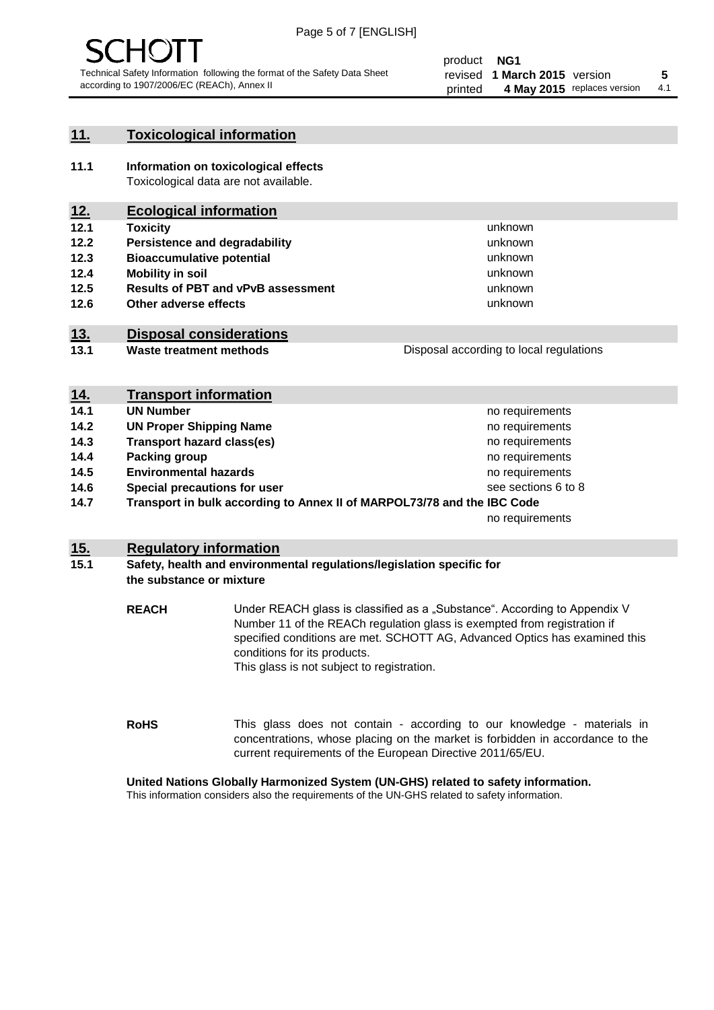

#### **11. Toxicological information**

**11.1 Information on toxicological effects** Toxicological data are not available.

#### **12. Ecological information**

- **12.1 Toxicity**
- **12.2 Persistence and degradability**
- **12.3 Bioaccumulative potential**
- **12.4 Mobility in soil**
- **12.5 Results of PBT and vPvB assessment**
- **12.6 Other adverse effects**

#### **13. Disposal considerations**

**13.1 Waste treatment methods**

| <b>Disposal according to local regulations</b> |  |
|------------------------------------------------|--|
|                                                |  |
|                                                |  |

unknown unknown unknown unknown

unknown unknown

Disposal according to local regulations

| <u>14.</u> | <b>Transport information</b>                                            |                     |
|------------|-------------------------------------------------------------------------|---------------------|
| 14.1       | <b>UN Number</b>                                                        | no requirements     |
| 14.2       | <b>UN Proper Shipping Name</b>                                          | no requirements     |
| 14.3       | <b>Transport hazard class(es)</b>                                       | no requirements     |
| 14.4       | Packing group                                                           | no requirements     |
| 14.5       | <b>Environmental hazards</b>                                            | no requirements     |
| 14.6       | Special precautions for user                                            | see sections 6 to 8 |
| 14.7       | Transport in bulk according to Annex II of MARPOL73/78 and the IBC Code |                     |
|            |                                                                         | no requirements     |

#### **15. Regulatory information**

#### **15.1 Safety, health and environmental regulations/legislation specific for the substance or mixture**

**REACH** Under REACH glass is classified as a "Substance". According to Appendix V Number 11 of the REACh regulation glass is exempted from registration if specified conditions are met. SCHOTT AG, Advanced Optics has examined this conditions for its products. This glass is not subject to registration.

**RoHS** This glass does not contain - according to our knowledge - materials in concentrations, whose placing on the market is forbidden in accordance to the current requirements of the European Directive 2011/65/EU.

#### **United Nations Globally Harmonized System (UN-GHS) related to safety information.**

This information considers also the requirements of the UN-GHS related to safety information.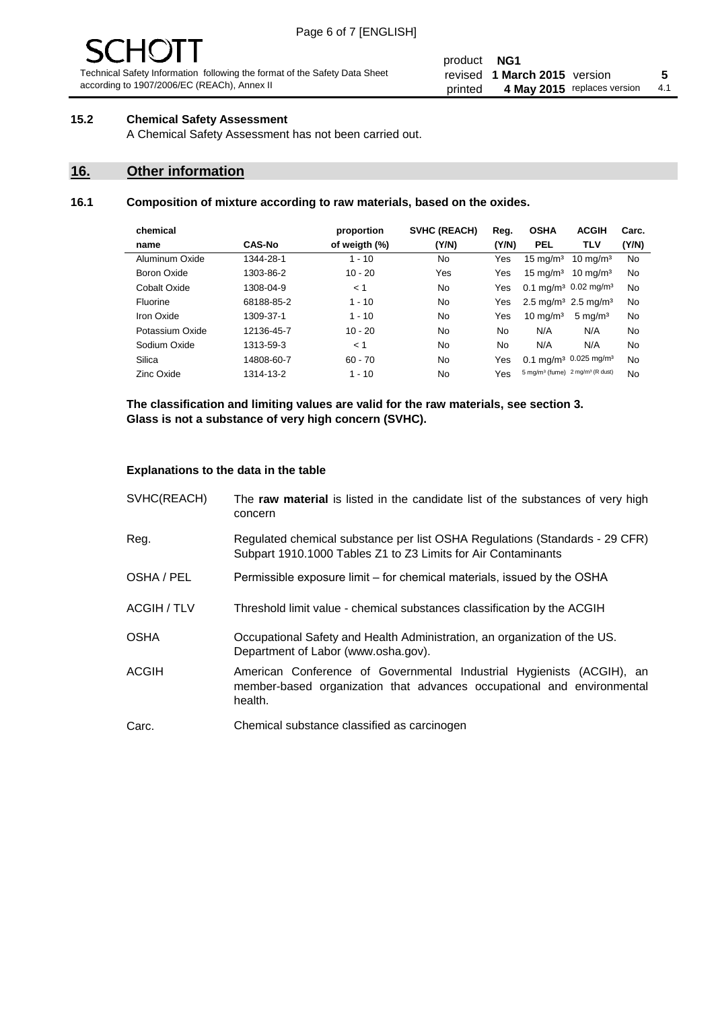# - JF

Technical Safety Information following the format of the Safety Data Sheet according to 1907/2006/EC (REACh), Annex II

#### product **NG1** revised **5 1 March 2015** version printed 4 May 2015 replaces version 4.1

#### **15.2 Chemical Safety Assessment**

A Chemical Safety Assessment has not been carried out.

#### **16. Other information**

#### **16.1 Composition of mixture according to raw materials, based on the oxides.**

| chemical        |               | proportion    | <b>SVHC (REACH)</b> | Reg.  | <b>OSHA</b>                                             | <b>ACGIH</b>        | Carc. |
|-----------------|---------------|---------------|---------------------|-------|---------------------------------------------------------|---------------------|-------|
| name            | <b>CAS-No</b> | of weigth (%) | (Y/N)               | (Y/N) | <b>PEL</b>                                              | <b>TLV</b>          | (Y/N) |
| Aluminum Oxide  | 1344-28-1     | $1 - 10$      | No                  | Yes   | $15 \text{ mg/m}^3$                                     | $10 \text{ mg/m}^3$ | No    |
| Boron Oxide     | 1303-86-2     | $10 - 20$     | Yes                 | Yes   | $15 \text{ mg/m}^3$                                     | $10 \text{ ma/m}^3$ | No    |
| Cobalt Oxide    | 1308-04-9     | < 1           | No.                 | Yes   | 0.1 mg/m <sup>3</sup> 0.02 mg/m <sup>3</sup>            |                     | No    |
| Fluorine        | 68188-85-2    | $1 - 10$      | No                  | Yes   | 2.5 mg/m <sup>3</sup> 2.5 mg/m <sup>3</sup>             |                     | No    |
| Iron Oxide      | 1309-37-1     | $1 - 10$      | No                  | Yes   | $10 \text{ mg/m}^3$                                     | $5 \text{ mg/m}^3$  | No    |
| Potassium Oxide | 12136-45-7    | $10 - 20$     | No                  | No.   | N/A                                                     | N/A                 | No    |
| Sodium Oxide    | 1313-59-3     | < 1           | No                  | No    | N/A                                                     | N/A                 | No    |
| Silica          | 14808-60-7    | $60 - 70$     | No.                 | Yes   | 0.1 mg/m <sup>3</sup> 0.025 mg/m <sup>3</sup>           |                     | No    |
| Zinc Oxide      | 1314-13-2     | $1 - 10$      | No                  | Yes   | 5 mg/m <sup>3</sup> (fume) 2 mg/m <sup>3</sup> (R dust) |                     | No    |

**The classification and limiting values are valid for the raw materials, see section 3. Glass is not a substance of very high concern (SVHC).**

#### **Explanations to the data in the table**

| SVHC(REACH)        | The raw material is listed in the candidate list of the substances of very high<br>concern                                                                 |
|--------------------|------------------------------------------------------------------------------------------------------------------------------------------------------------|
| Reg.               | Regulated chemical substance per list OSHA Regulations (Standards - 29 CFR)<br>Subpart 1910.1000 Tables Z1 to Z3 Limits for Air Contaminants               |
| OSHA / PEL         | Permissible exposure limit – for chemical materials, issued by the OSHA                                                                                    |
| <b>ACGIH / TLV</b> | Threshold limit value - chemical substances classification by the ACGIH                                                                                    |
| <b>OSHA</b>        | Occupational Safety and Health Administration, an organization of the US.<br>Department of Labor (www.osha.gov).                                           |
| ACGIH              | American Conference of Governmental Industrial Hygienists (ACGIH), an<br>member-based organization that advances occupational and environmental<br>health. |
| Carc.              | Chemical substance classified as carcinogen                                                                                                                |